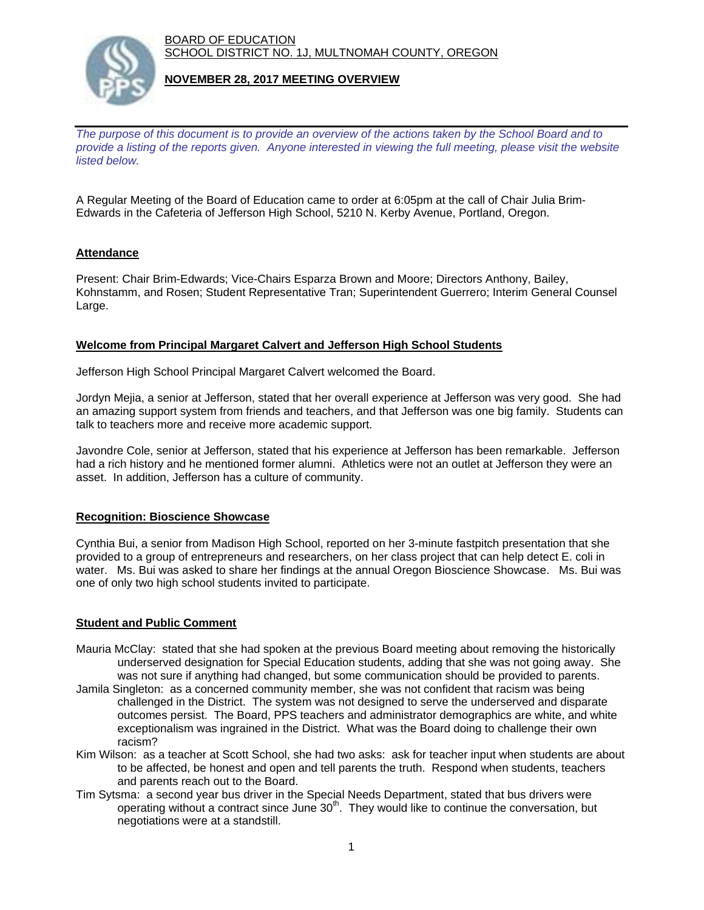BOARD OF EDUCATION SCHOOL DISTRICT NO. 1J, MULTNOMAH COUNTY, OREGON



## **NOVEMBER 28, 2017 MEETING OVERVIEW**

*The purpose of this document is to provide an overview of the actions taken by the School Board and to provide a listing of the reports given. Anyone interested in viewing the full meeting, please visit the website listed below.*

A Regular Meeting of the Board of Education came to order at 6:05pm at the call of Chair Julia Brim-Edwards in the Cafeteria of Jefferson High School, 5210 N. Kerby Avenue, Portland, Oregon.

# **Attendance**

Present: Chair Brim-Edwards; Vice-Chairs Esparza Brown and Moore; Directors Anthony, Bailey, Kohnstamm, and Rosen; Student Representative Tran; Superintendent Guerrero; Interim General Counsel Large.

## **Welcome from Principal Margaret Calvert and Jefferson High School Students**

Jefferson High School Principal Margaret Calvert welcomed the Board.

Jordyn Mejia, a senior at Jefferson, stated that her overall experience at Jefferson was very good. She had an amazing support system from friends and teachers, and that Jefferson was one big family. Students can talk to teachers more and receive more academic support.

Javondre Cole, senior at Jefferson, stated that his experience at Jefferson has been remarkable. Jefferson had a rich history and he mentioned former alumni. Athletics were not an outlet at Jefferson they were an asset. In addition, Jefferson has a culture of community.

#### **Recognition: Bioscience Showcase**

Cynthia Bui, a senior from Madison High School, reported on her 3-minute fastpitch presentation that she provided to a group of entrepreneurs and researchers, on her class project that can help detect E. coli in water. Ms. Bui was asked to share her findings at the annual Oregon Bioscience Showcase. Ms. Bui was one of only two high school students invited to participate.

## **Student and Public Comment**

- Mauria McClay: stated that she had spoken at the previous Board meeting about removing the historically underserved designation for Special Education students, adding that she was not going away. She was not sure if anything had changed, but some communication should be provided to parents.
- Jamila Singleton: as a concerned community member, she was not confident that racism was being challenged in the District. The system was not designed to serve the underserved and disparate outcomes persist. The Board, PPS teachers and administrator demographics are white, and white exceptionalism was ingrained in the District. What was the Board doing to challenge their own racism?
- Kim Wilson: as a teacher at Scott School, she had two asks: ask for teacher input when students are about to be affected, be honest and open and tell parents the truth. Respond when students, teachers and parents reach out to the Board.
- Tim Sytsma: a second year bus driver in the Special Needs Department, stated that bus drivers were operating without a contract since June 30th. They would like to continue the conversation, but negotiations were at a standstill.